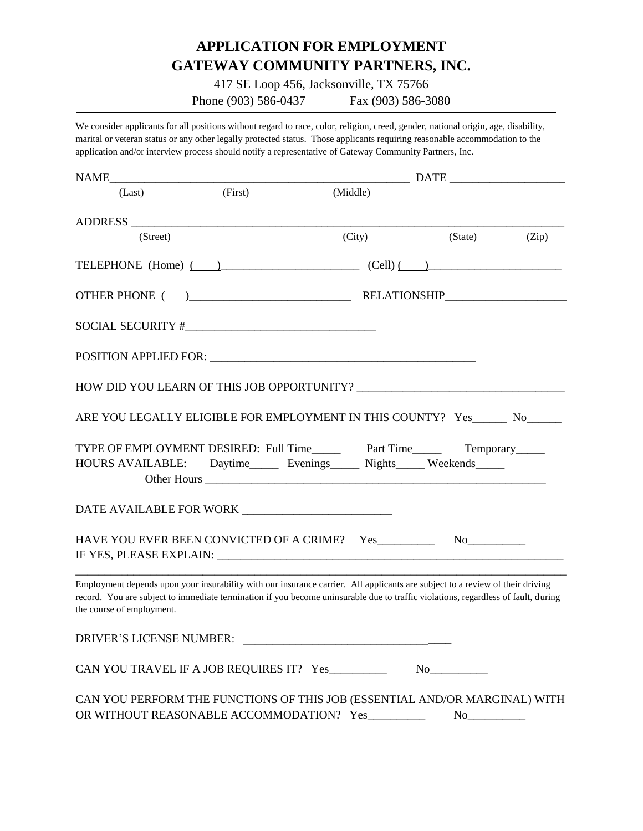# **APPLICATION FOR EMPLOYMENT GATEWAY COMMUNITY PARTNERS, INC.**

417 SE Loop 456, Jacksonville, TX 75766

Phone (903) 586-0437 Fax (903) 586-3080

We consider applicants for all positions without regard to race, color, religion, creed, gender, national origin, age, disability, marital or veteran status or any other legally protected status. Those applicants requiring reasonable accommodation to the application and/or interview process should notify a representative of Gateway Community Partners, Inc.

| <b>NAME</b>                                      |         |                                                                                                                                                                                                                                                                    |         |       |
|--------------------------------------------------|---------|--------------------------------------------------------------------------------------------------------------------------------------------------------------------------------------------------------------------------------------------------------------------|---------|-------|
| (Last)                                           | (First) | (Middle)                                                                                                                                                                                                                                                           |         |       |
|                                                  |         |                                                                                                                                                                                                                                                                    |         |       |
| (Street)                                         |         | (City)                                                                                                                                                                                                                                                             | (State) | (Zip) |
|                                                  |         | TELEPHONE (Home) $\qquad)$ (Cell) $\qquad)$                                                                                                                                                                                                                        |         |       |
|                                                  |         |                                                                                                                                                                                                                                                                    |         |       |
|                                                  |         |                                                                                                                                                                                                                                                                    |         |       |
|                                                  |         |                                                                                                                                                                                                                                                                    |         |       |
|                                                  |         |                                                                                                                                                                                                                                                                    |         |       |
|                                                  |         | ARE YOU LEGALLY ELIGIBLE FOR EMPLOYMENT IN THIS COUNTY? Yes No                                                                                                                                                                                                     |         |       |
|                                                  |         | HOURS AVAILABLE: Daytime_______ Evenings_______ Nights______ Weekends______                                                                                                                                                                                        |         |       |
|                                                  |         |                                                                                                                                                                                                                                                                    |         |       |
|                                                  |         |                                                                                                                                                                                                                                                                    |         |       |
| the course of employment.                        |         | Employment depends upon your insurability with our insurance carrier. All applicants are subject to a review of their driving<br>record. You are subject to immediate termination if you become uninsurable due to traffic violations, regardless of fault, during |         |       |
| DRIVER'S LICENSE NUMBER:                         |         |                                                                                                                                                                                                                                                                    |         |       |
| CAN YOU TRAVEL IF A JOB REQUIRES IT? Yes________ |         |                                                                                                                                                                                                                                                                    | No      |       |
|                                                  |         | CAN YOU PERFORM THE FUNCTIONS OF THIS JOB (ESSENTIAL AND/OR MARGINAL) WITH<br>OR WITHOUT REASONABLE ACCOMMODATION? Yes________                                                                                                                                     | No      |       |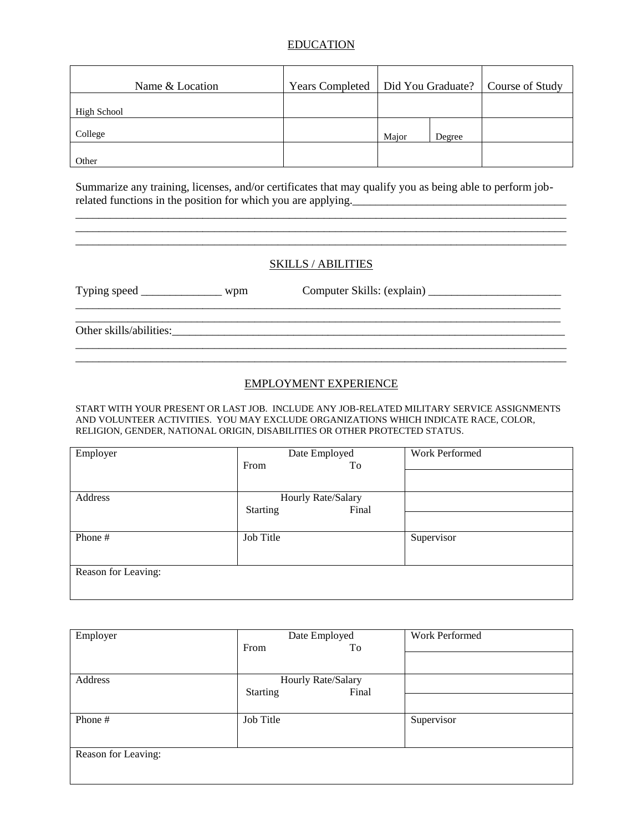## EDUCATION

| Name & Location | <b>Years Completed</b> |       |        | Did You Graduate?   Course of Study |
|-----------------|------------------------|-------|--------|-------------------------------------|
| High School     |                        |       |        |                                     |
| College         |                        | Major | Degree |                                     |
| Other           |                        |       |        |                                     |

Summarize any training, licenses, and/or certificates that may qualify you as being able to perform jobrelated functions in the position for which you are applying.

#### SKILLS / ABILITIES

\_\_\_\_\_\_\_\_\_\_\_\_\_\_\_\_\_\_\_\_\_\_\_\_\_\_\_\_\_\_\_\_\_\_\_\_\_\_\_\_\_\_\_\_\_\_\_\_\_\_\_\_\_\_\_\_\_\_\_\_\_\_\_\_\_\_\_\_\_\_\_\_\_\_\_\_\_\_\_\_\_\_\_\_\_

Typing speed \_\_\_\_\_\_\_\_\_\_\_\_\_\_\_ wpm Computer Skills: (explain) \_\_\_\_\_\_\_\_\_\_\_\_\_\_\_\_\_\_\_\_

\_\_\_\_\_\_\_\_\_\_\_\_\_\_\_\_\_\_\_\_\_\_\_\_\_\_\_\_\_\_\_\_\_\_\_\_\_\_\_\_\_\_\_\_\_\_\_\_\_\_\_\_\_\_\_\_\_\_\_\_\_\_\_\_\_\_\_\_\_\_\_\_\_\_\_\_\_\_\_\_\_\_\_\_\_

Other skills/abilities:

#### EMPLOYMENT EXPERIENCE

START WITH YOUR PRESENT OR LAST JOB. INCLUDE ANY JOB-RELATED MILITARY SERVICE ASSIGNMENTS AND VOLUNTEER ACTIVITIES. YOU MAY EXCLUDE ORGANIZATIONS WHICH INDICATE RACE, COLOR, RELIGION, GENDER, NATIONAL ORIGIN, DISABILITIES OR OTHER PROTECTED STATUS.

| Employer            | Date Employed            | Work Performed |
|---------------------|--------------------------|----------------|
|                     | From<br>To               |                |
|                     |                          |                |
| Address             | Hourly Rate/Salary       |                |
|                     | <b>Starting</b><br>Final |                |
|                     |                          |                |
| Phone #             | Job Title                | Supervisor     |
|                     |                          |                |
|                     |                          |                |
| Reason for Leaving: |                          |                |
|                     |                          |                |

| Employer            | Date Employed            | Work Performed |
|---------------------|--------------------------|----------------|
|                     | From<br>To               |                |
|                     |                          |                |
| Address             | Hourly Rate/Salary       |                |
|                     | <b>Starting</b><br>Final |                |
|                     |                          |                |
| Phone #             | Job Title                | Supervisor     |
|                     |                          |                |
| Reason for Leaving: |                          |                |
|                     |                          |                |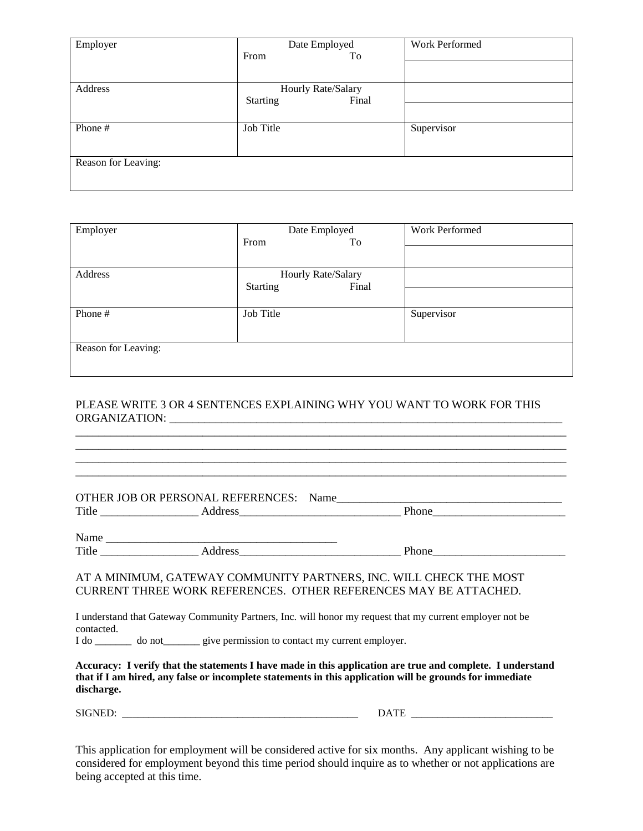| Employer            | Date Employed            | Work Performed |
|---------------------|--------------------------|----------------|
|                     | To<br>From               |                |
|                     |                          |                |
| Address             | Hourly Rate/Salary       |                |
|                     | Final<br><b>Starting</b> |                |
|                     |                          |                |
| Phone #             | Job Title                | Supervisor     |
|                     |                          |                |
| Reason for Leaving: |                          |                |
|                     |                          |                |

| Employer            | Date Employed            | Work Performed |
|---------------------|--------------------------|----------------|
|                     | From<br>To               |                |
|                     |                          |                |
| Address             | Hourly Rate/Salary       |                |
|                     | <b>Starting</b><br>Final |                |
|                     |                          |                |
| Phone #             | Job Title                | Supervisor     |
|                     |                          |                |
| Reason for Leaving: |                          |                |
|                     |                          |                |

## PLEASE WRITE 3 OR 4 SENTENCES EXPLAINING WHY YOU WANT TO WORK FOR THIS ORGANIZATION: \_\_\_\_\_\_\_\_\_\_\_\_\_\_\_\_\_\_\_\_\_\_\_\_\_\_\_\_\_\_\_\_\_\_\_\_\_\_\_\_\_\_\_\_\_\_\_\_\_\_\_\_\_\_\_\_\_\_\_\_\_\_\_\_\_\_\_\_

\_\_\_\_\_\_\_\_\_\_\_\_\_\_\_\_\_\_\_\_\_\_\_\_\_\_\_\_\_\_\_\_\_\_\_\_\_\_\_\_\_\_\_\_\_\_\_\_\_\_\_\_\_\_\_\_\_\_\_\_\_\_\_\_\_\_\_\_\_\_\_\_\_\_\_\_\_\_\_\_\_\_\_\_\_ \_\_\_\_\_\_\_\_\_\_\_\_\_\_\_\_\_\_\_\_\_\_\_\_\_\_\_\_\_\_\_\_\_\_\_\_\_\_\_\_\_\_\_\_\_\_\_\_\_\_\_\_\_\_\_\_\_\_\_\_\_\_\_\_\_\_\_\_\_\_\_\_\_\_\_\_\_\_\_\_\_\_\_\_\_ \_\_\_\_\_\_\_\_\_\_\_\_\_\_\_\_\_\_\_\_\_\_\_\_\_\_\_\_\_\_\_\_\_\_\_\_\_\_\_\_\_\_\_\_\_\_\_\_\_\_\_\_\_\_\_\_\_\_\_\_\_\_\_\_\_\_\_\_\_\_\_\_\_\_\_\_\_\_\_\_\_\_\_\_\_

| OTHER JOB OR PERSONAL REFERENCES: | Name |       |
|-----------------------------------|------|-------|
| Title                             |      | Phone |
|                                   |      |       |
|                                   |      |       |

Name \_\_\_\_\_\_\_\_\_\_\_\_\_\_\_\_\_\_\_\_\_\_\_\_\_\_\_\_\_\_\_\_\_\_\_\_\_\_\_\_ Title \_\_\_\_\_\_\_\_\_\_\_\_\_\_\_\_\_ Address\_\_\_\_\_\_\_\_\_\_\_\_\_\_\_\_\_\_\_\_\_\_\_\_\_\_\_\_ Phone\_\_\_\_\_\_\_\_\_\_\_\_\_\_\_\_\_\_\_\_\_\_\_

 $\overline{O}$ THER JOB OR PERSONAL REFERENCES:  $N$ 

#### AT A MINIMUM, GATEWAY COMMUNITY PARTNERS, INC. WILL CHECK THE MOST CURRENT THREE WORK REFERENCES. OTHER REFERENCES MAY BE ATTACHED.

I understand that Gateway Community Partners, Inc. will honor my request that my current employer not be contacted.

I do \_\_\_\_\_\_\_ do not\_\_\_\_\_\_\_ give permission to contact my current employer.

**Accuracy: I verify that the statements I have made in this application are true and complete. I understand that if I am hired, any false or incomplete statements in this application will be grounds for immediate discharge.**

SIGNED: \_\_\_\_\_\_\_\_\_\_\_\_\_\_\_\_\_\_\_\_\_\_\_\_\_\_\_\_\_\_\_\_\_\_\_\_\_\_\_\_\_\_\_\_\_ DATE \_\_\_\_\_\_\_\_\_\_\_\_\_\_\_\_\_\_\_\_\_\_\_\_\_\_\_

This application for employment will be considered active for six months. Any applicant wishing to be considered for employment beyond this time period should inquire as to whether or not applications are being accepted at this time.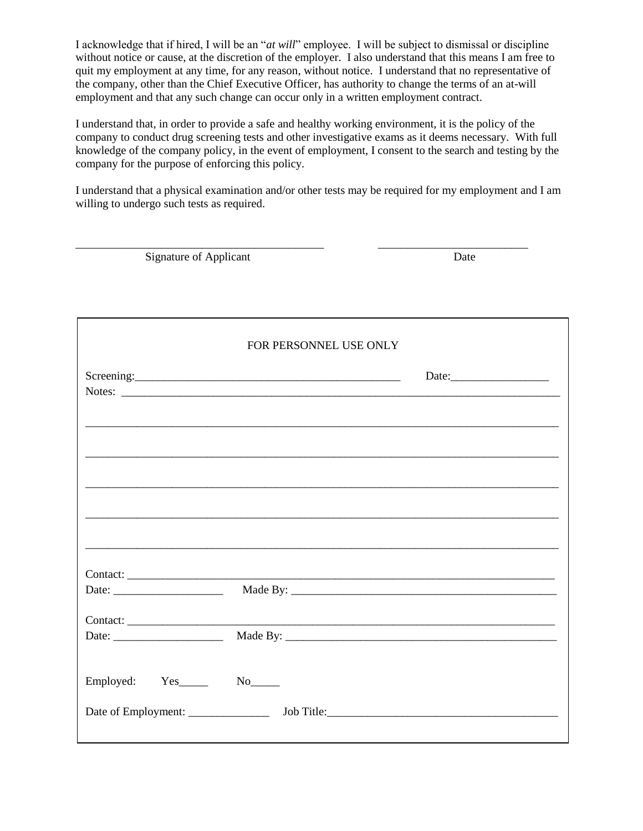I acknowledge that if hired, I will be an "*at will*" employee. I will be subject to dismissal or discipline without notice or cause, at the discretion of the employer. I also understand that this means I am free to quit my employment at any time, for any reason, without notice. I understand that no representative of the company, other than the Chief Executive Officer, has authority to change the terms of an at-will employment and that any such change can occur only in a written employment contract.

I understand that, in order to provide a safe and healthy working environment, it is the policy of the company to conduct drug screening tests and other investigative exams as it deems necessary. With full knowledge of the company policy, in the event of employment, I consent to the search and testing by the company for the purpose of enforcing this policy.

I understand that a physical examination and/or other tests may be required for my employment and I am willing to undergo such tests as required.

| Signature of Applicant                                   |                        | Date                                                                                                                  |
|----------------------------------------------------------|------------------------|-----------------------------------------------------------------------------------------------------------------------|
|                                                          |                        |                                                                                                                       |
|                                                          | FOR PERSONNEL USE ONLY |                                                                                                                       |
|                                                          |                        | Date:                                                                                                                 |
|                                                          |                        |                                                                                                                       |
|                                                          |                        | <u> 1989 - Johann Stoff, deutscher Stoff, der Stoff, der Stoff, der Stoff, der Stoff, der Stoff, der Stoff, der S</u> |
|                                                          |                        |                                                                                                                       |
|                                                          |                        |                                                                                                                       |
|                                                          |                        | Contact:                                                                                                              |
| Date: $\frac{1}{\sqrt{1-\frac{1}{2}} \cdot \frac{1}{2}}$ |                        |                                                                                                                       |
|                                                          |                        | Contact:                                                                                                              |
| Employed: Yes______                                      |                        |                                                                                                                       |
|                                                          |                        |                                                                                                                       |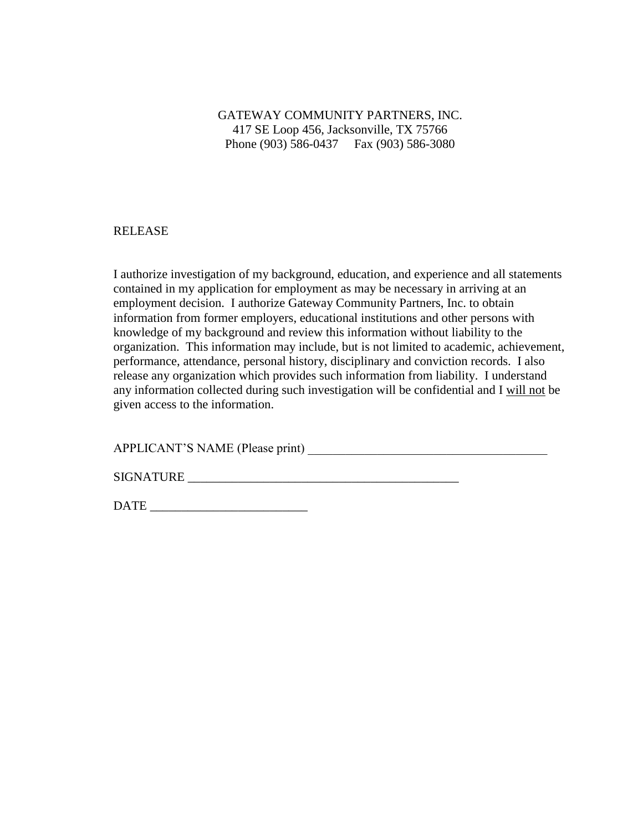GATEWAY COMMUNITY PARTNERS, INC. 417 SE Loop 456, Jacksonville, TX 75766 Phone (903) 586-0437 Fax (903) 586-3080

## RELEASE

I authorize investigation of my background, education, and experience and all statements contained in my application for employment as may be necessary in arriving at an employment decision. I authorize Gateway Community Partners, Inc. to obtain information from former employers, educational institutions and other persons with knowledge of my background and review this information without liability to the organization. This information may include, but is not limited to academic, achievement, performance, attendance, personal history, disciplinary and conviction records. I also release any organization which provides such information from liability. I understand any information collected during such investigation will be confidential and I will not be given access to the information.

APPLICANT'S NAME (Please print) \_\_\_\_\_\_\_\_\_\_\_\_\_\_\_\_\_\_\_\_\_\_\_\_\_\_\_\_\_\_\_\_\_\_\_\_\_\_

SIGNATURE \_\_\_\_\_\_\_\_\_\_\_\_\_\_\_\_\_\_\_\_\_\_\_\_\_\_\_\_\_\_\_\_\_\_\_\_\_\_\_\_\_\_\_

DATE  $\Box$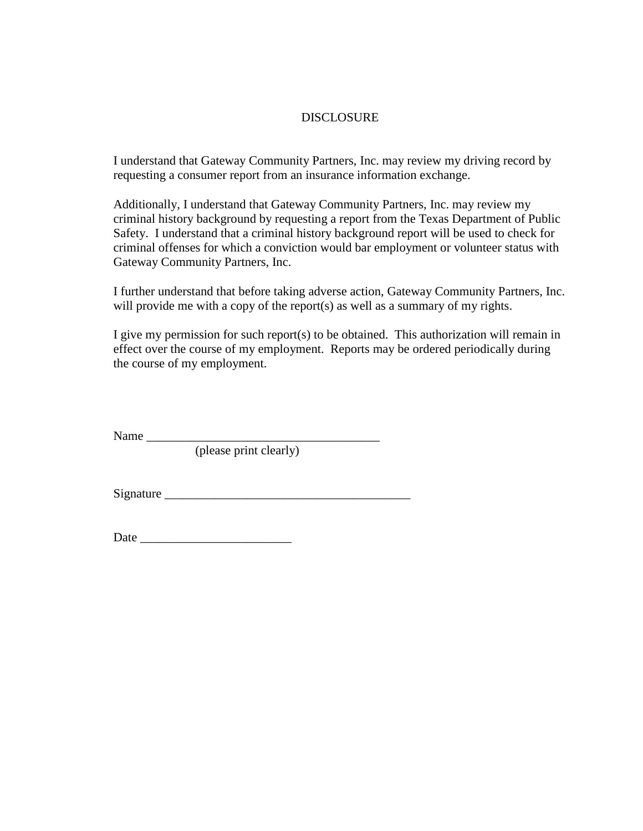## DISCLOSURE

I understand that Gateway Community Partners, Inc. may review my driving record by requesting a consumer report from an insurance information exchange.

Additionally, I understand that Gateway Community Partners, Inc. may review my criminal history background by requesting a report from the Texas Department of Public Safety. I understand that a criminal history background report will be used to check for criminal offenses for which a conviction would bar employment or volunteer status with Gateway Community Partners, Inc.

I further understand that before taking adverse action, Gateway Community Partners, Inc. will provide me with a copy of the report(s) as well as a summary of my rights.

I give my permission for such report(s) to be obtained. This authorization will remain in effect over the course of my employment. Reports may be ordered periodically during the course of my employment.

Name \_\_\_\_\_\_\_\_\_\_\_\_\_\_\_\_\_\_\_\_\_\_\_\_\_\_\_\_\_\_\_\_\_\_\_\_\_

(please print clearly)

 $Signature$ 

| Date |
|------|
|      |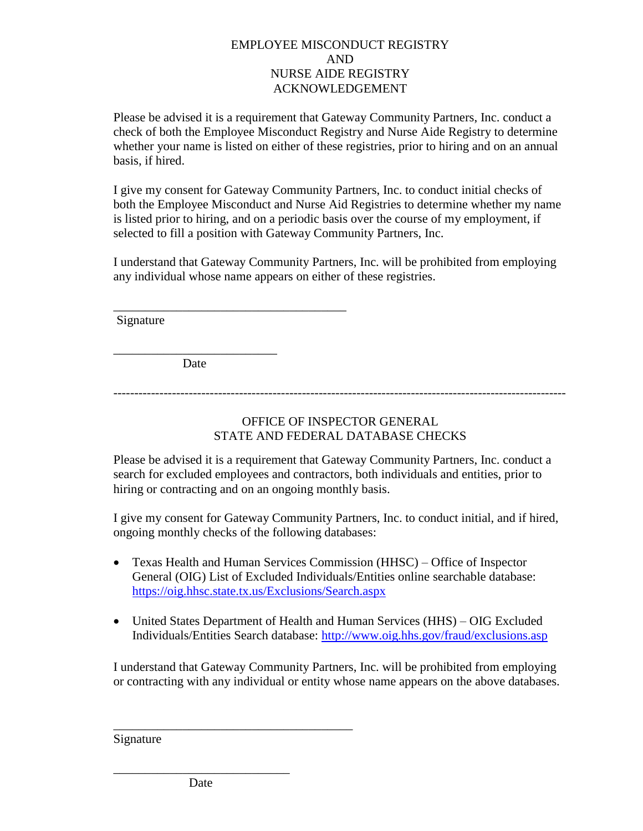## EMPLOYEE MISCONDUCT REGISTRY AND NURSE AIDE REGISTRY ACKNOWLEDGEMENT

Please be advised it is a requirement that Gateway Community Partners, Inc. conduct a check of both the Employee Misconduct Registry and Nurse Aide Registry to determine whether your name is listed on either of these registries, prior to hiring and on an annual basis, if hired.

I give my consent for Gateway Community Partners, Inc. to conduct initial checks of both the Employee Misconduct and Nurse Aid Registries to determine whether my name is listed prior to hiring, and on a periodic basis over the course of my employment, if selected to fill a position with Gateway Community Partners, Inc.

I understand that Gateway Community Partners, Inc. will be prohibited from employing any individual whose name appears on either of these registries.

Signature

\_\_\_\_\_\_\_\_\_\_\_\_\_\_\_\_\_\_\_\_\_\_\_\_\_\_ **Date** 

\_\_\_\_\_\_\_\_\_\_\_\_\_\_\_\_\_\_\_\_\_\_\_\_\_\_\_\_\_\_\_\_\_\_\_\_\_

------------------------------------------------------------------------------------------------------------

# OFFICE OF INSPECTOR GENERAL STATE AND FEDERAL DATABASE CHECKS

Please be advised it is a requirement that Gateway Community Partners, Inc. conduct a search for excluded employees and contractors, both individuals and entities, prior to hiring or contracting and on an ongoing monthly basis.

I give my consent for Gateway Community Partners, Inc. to conduct initial, and if hired, ongoing monthly checks of the following databases:

- Texas Health and Human Services Commission (HHSC) Office of Inspector General (OIG) List of Excluded Individuals/Entities online searchable database: <https://oig.hhsc.state.tx.us/Exclusions/Search.aspx>
- United States Department of Health and Human Services (HHS) OIG Excluded Individuals/Entities Search database:<http://www.oig.hhs.gov/fraud/exclusions.asp>

I understand that Gateway Community Partners, Inc. will be prohibited from employing or contracting with any individual or entity whose name appears on the above databases.

Signature

\_\_\_\_\_\_\_\_\_\_\_\_\_\_\_\_\_\_\_\_\_\_\_\_\_\_\_\_ Date

\_\_\_\_\_\_\_\_\_\_\_\_\_\_\_\_\_\_\_\_\_\_\_\_\_\_\_\_\_\_\_\_\_\_\_\_\_\_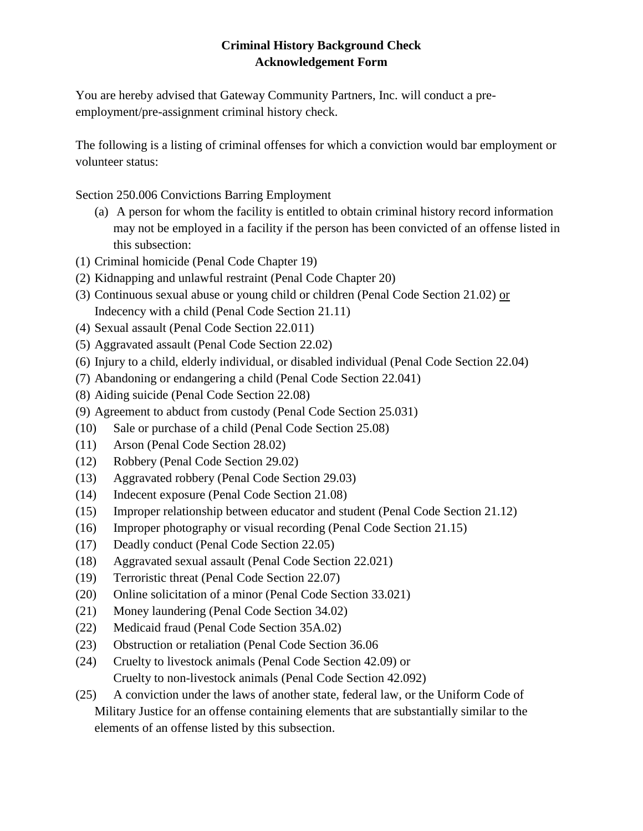# **Criminal History Background Check Acknowledgement Form**

You are hereby advised that Gateway Community Partners, Inc. will conduct a preemployment/pre-assignment criminal history check.

The following is a listing of criminal offenses for which a conviction would bar employment or volunteer status:

Section 250.006 Convictions Barring Employment

- (a) A person for whom the facility is entitled to obtain criminal history record information may not be employed in a facility if the person has been convicted of an offense listed in this subsection:
- (1) Criminal homicide (Penal Code Chapter 19)
- (2) Kidnapping and unlawful restraint (Penal Code Chapter 20)
- (3) Continuous sexual abuse or young child or children (Penal Code Section 21.02) or Indecency with a child (Penal Code Section 21.11)
- (4) Sexual assault (Penal Code Section 22.011)
- (5) Aggravated assault (Penal Code Section 22.02)
- (6) Injury to a child, elderly individual, or disabled individual (Penal Code Section 22.04)
- (7) Abandoning or endangering a child (Penal Code Section 22.041)
- (8) Aiding suicide (Penal Code Section 22.08)
- (9) Agreement to abduct from custody (Penal Code Section 25.031)
- (10) Sale or purchase of a child (Penal Code Section 25.08)
- (11) Arson (Penal Code Section 28.02)
- (12) Robbery (Penal Code Section 29.02)
- (13) Aggravated robbery (Penal Code Section 29.03)
- (14) Indecent exposure (Penal Code Section 21.08)
- (15) Improper relationship between educator and student (Penal Code Section 21.12)
- (16) Improper photography or visual recording (Penal Code Section 21.15)
- (17) Deadly conduct (Penal Code Section 22.05)
- (18) Aggravated sexual assault (Penal Code Section 22.021)
- (19) Terroristic threat (Penal Code Section 22.07)
- (20) Online solicitation of a minor (Penal Code Section 33.021)
- (21) Money laundering (Penal Code Section 34.02)
- (22) Medicaid fraud (Penal Code Section 35A.02)
- (23) Obstruction or retaliation (Penal Code Section 36.06
- (24) Cruelty to livestock animals (Penal Code Section 42.09) or Cruelty to non-livestock animals (Penal Code Section 42.092)
- (25) A conviction under the laws of another state, federal law, or the Uniform Code of Military Justice for an offense containing elements that are substantially similar to the elements of an offense listed by this subsection.